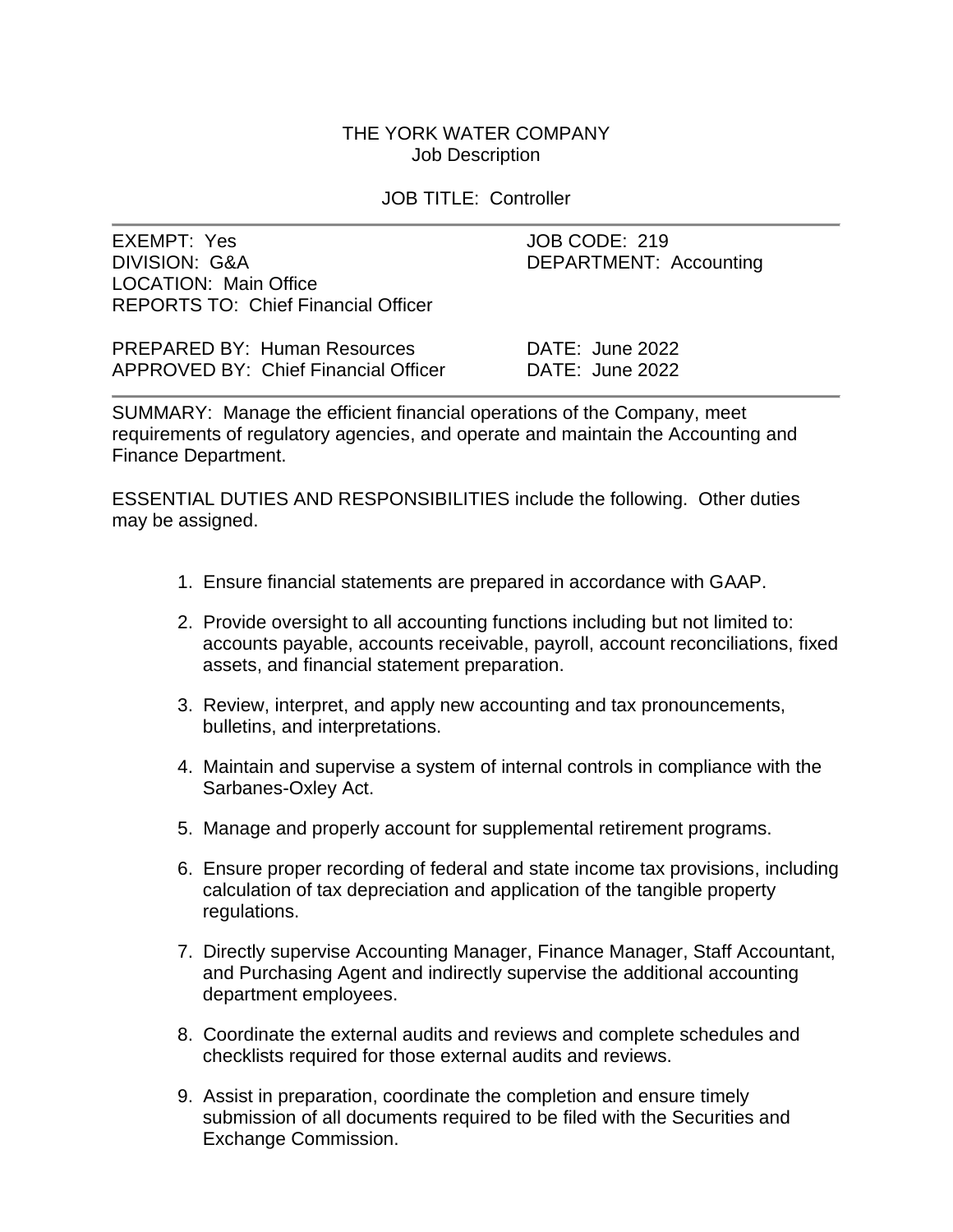### THE YORK WATER COMPANY Job Description

JOB TITLE: Controller

EXEMPT: Yes JOB CODE: 219 DIVISION: G&A DEPARTMENT: Accounting LOCATION: Main Office REPORTS TO: Chief Financial Officer

| <b>PREPARED BY: Human Resources</b>         | DATE: June 2022 |
|---------------------------------------------|-----------------|
| <b>APPROVED BY: Chief Financial Officer</b> | DATE: June 2022 |

SUMMARY: Manage the efficient financial operations of the Company, meet requirements of regulatory agencies, and operate and maintain the Accounting and Finance Department.

ESSENTIAL DUTIES AND RESPONSIBILITIES include the following. Other duties may be assigned.

- 1. Ensure financial statements are prepared in accordance with GAAP.
- 2. Provide oversight to all accounting functions including but not limited to: accounts payable, accounts receivable, payroll, account reconciliations, fixed assets, and financial statement preparation.
- 3. Review, interpret, and apply new accounting and tax pronouncements, bulletins, and interpretations.
- 4. Maintain and supervise a system of internal controls in compliance with the Sarbanes-Oxley Act.
- 5. Manage and properly account for supplemental retirement programs.
- 6. Ensure proper recording of federal and state income tax provisions, including calculation of tax depreciation and application of the tangible property regulations.
- 7. Directly supervise Accounting Manager, Finance Manager, Staff Accountant, and Purchasing Agent and indirectly supervise the additional accounting department employees.
- 8. Coordinate the external audits and reviews and complete schedules and checklists required for those external audits and reviews.
- 9. Assist in preparation, coordinate the completion and ensure timely submission of all documents required to be filed with the Securities and Exchange Commission.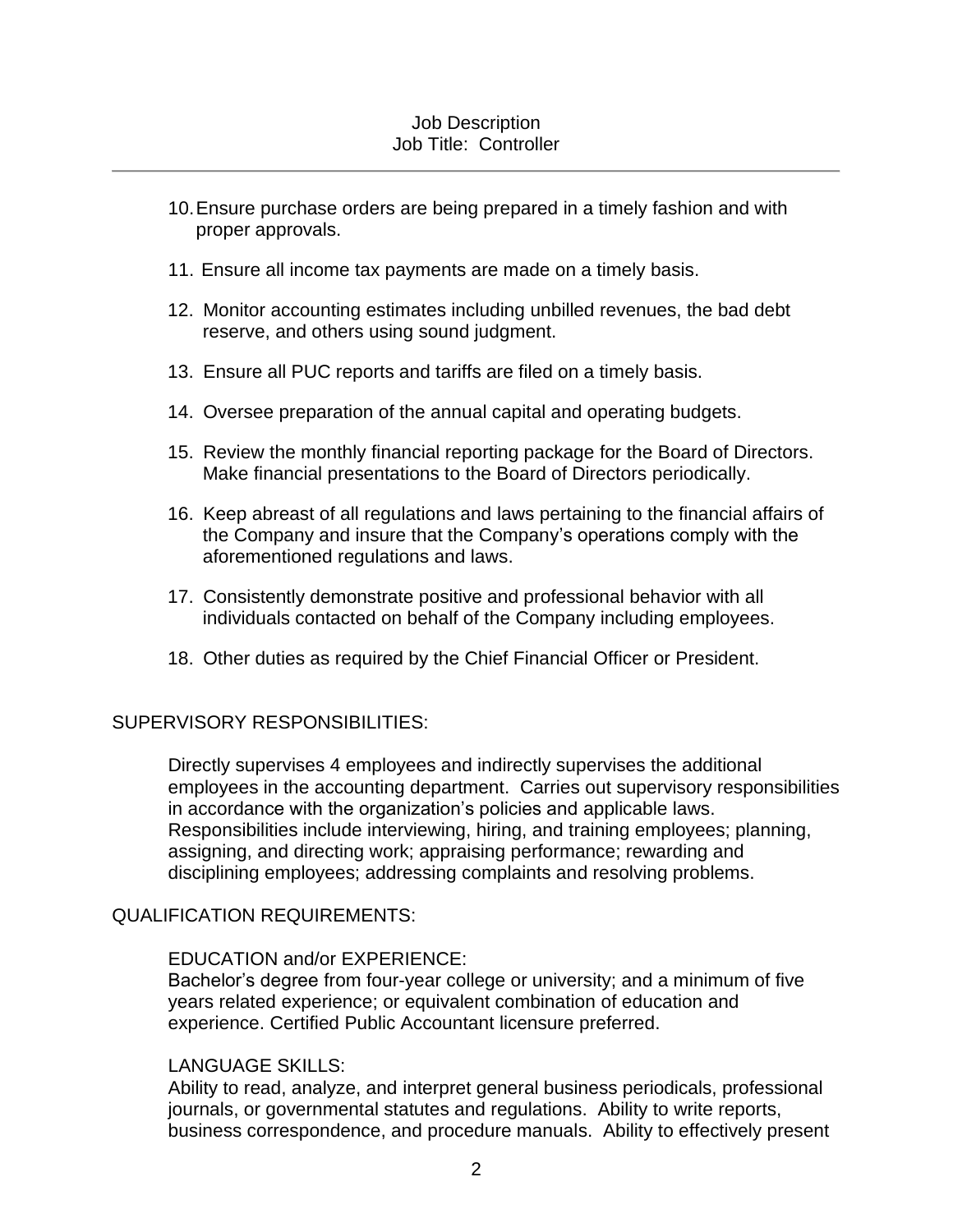### Job Description Job Title: Controller

- 10.Ensure purchase orders are being prepared in a timely fashion and with proper approvals.
- 11. Ensure all income tax payments are made on a timely basis.
- 12. Monitor accounting estimates including unbilled revenues, the bad debt reserve, and others using sound judgment.
- 13. Ensure all PUC reports and tariffs are filed on a timely basis.
- 14. Oversee preparation of the annual capital and operating budgets.
- 15. Review the monthly financial reporting package for the Board of Directors. Make financial presentations to the Board of Directors periodically.
- 16. Keep abreast of all regulations and laws pertaining to the financial affairs of the Company and insure that the Company's operations comply with the aforementioned regulations and laws.
- 17. Consistently demonstrate positive and professional behavior with all individuals contacted on behalf of the Company including employees.
- 18. Other duties as required by the Chief Financial Officer or President.

# SUPERVISORY RESPONSIBILITIES:

Directly supervises 4 employees and indirectly supervises the additional employees in the accounting department. Carries out supervisory responsibilities in accordance with the organization's policies and applicable laws. Responsibilities include interviewing, hiring, and training employees; planning, assigning, and directing work; appraising performance; rewarding and disciplining employees; addressing complaints and resolving problems.

### QUALIFICATION REQUIREMENTS:

### EDUCATION and/or EXPERIENCE:

Bachelor's degree from four-year college or university; and a minimum of five years related experience; or equivalent combination of education and experience. Certified Public Accountant licensure preferred.

### LANGUAGE SKILLS:

Ability to read, analyze, and interpret general business periodicals, professional journals, or governmental statutes and regulations. Ability to write reports, business correspondence, and procedure manuals. Ability to effectively present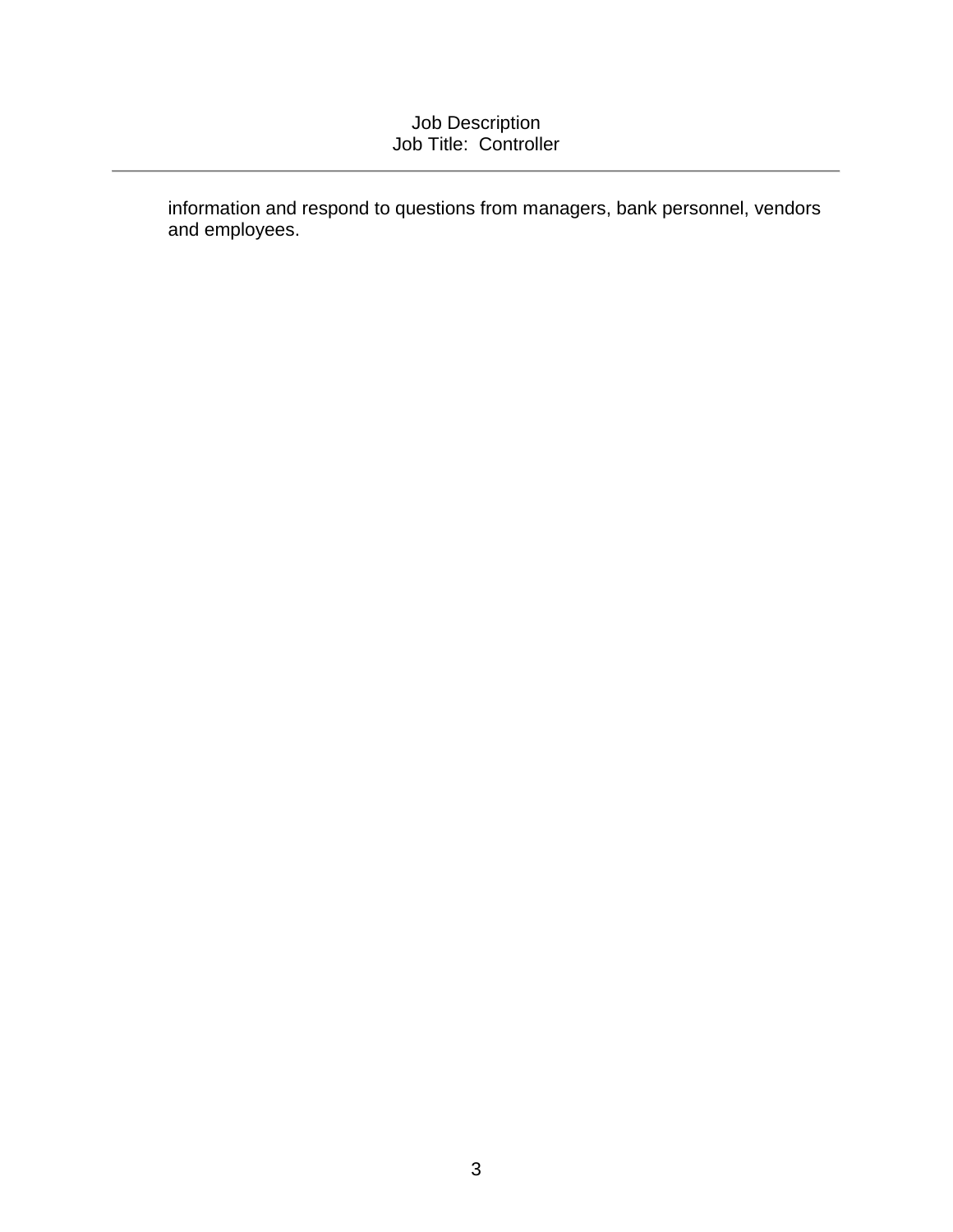# Job Description Job Title: Controller

information and respond to questions from managers, bank personnel, vendors and employees.